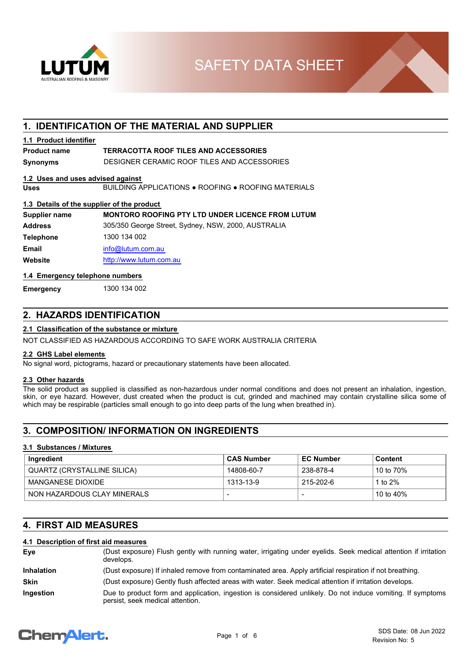

**SAFETY DATA SHEET** 

## **1. IDENTIFICATION OF THE MATERIAL AND SUPPLIER**

## **1.1 Product identifier**

## **Product name TERRACOTTA ROOF TILES AND ACCESSORIES**

**Synonyms** DESIGNER CERAMIC ROOF TILES AND ACCESSORIES

## **1.2 Uses and uses advised against**

**Uses** BUILDING APPLICATIONS ● ROOFING ● ROOFING MATERIALS

## **1.3 Details of the supplier of the product**

| Supplier name    | <b>MONTORO ROOFING PTY LTD UNDER LICENCE FROM LUTUM</b> |
|------------------|---------------------------------------------------------|
| <b>Address</b>   | 305/350 George Street, Sydney, NSW, 2000, AUSTRALIA     |
| <b>Telephone</b> | 1300 134 002                                            |
| Email            | info@lutum.com.au                                       |
| Website          | http://www.lutum.com.au                                 |

## **1.4 Emergency telephone numbers**

**Emergency** 1300 134 002

## **2. HAZARDS IDENTIFICATION**

## **2.1 Classification of the substance or mixture**

NOT CLASSIFIED AS HAZARDOUS ACCORDING TO SAFE WORK AUSTRALIA CRITERIA

#### **2.2 GHS Label elements**

No signal word, pictograms, hazard or precautionary statements have been allocated.

## **2.3 Other hazards**

The solid product as supplied is classified as non-hazardous under normal conditions and does not present an inhalation, ingestion, skin, or eye hazard. However, dust created when the product is cut, grinded and machined may contain crystalline silica some of which may be respirable (particles small enough to go into deep parts of the lung when breathed in).

## **3. COMPOSITION/ INFORMATION ON INGREDIENTS**

### **3.1 Substances / Mixtures**

| Ingredient                  | <b>CAS Number</b> | <b>EC Number</b> | Content                |
|-----------------------------|-------------------|------------------|------------------------|
| QUARTZ (CRYSTALLINE SILICA) | 14808-60-7        | 238-878-4        | 10 to 70%              |
| MANGANESE DIOXIDE           | 1313-13-9         | 215-202-6        | 1 to 2%                |
| NON HAZARDOUS CLAY MINERALS |                   |                  | <sup>∣</sup> 10 to 40% |

## **4. FIRST AID MEASURES**

## **4.1 Description of first aid measures**

| Eye               | (Dust exposure) Flush gently with running water, irrigating under eyelids. Seek medical attention if irritation<br>develops.                   |
|-------------------|------------------------------------------------------------------------------------------------------------------------------------------------|
| <b>Inhalation</b> | (Dust exposure) If inhaled remove from contaminated area. Apply artificial respiration if not breathing.                                       |
| <b>Skin</b>       | (Dust exposure) Gently flush affected areas with water. Seek medical attention if irritation develops.                                         |
| <b>Ingestion</b>  | Due to product form and application, ingestion is considered unlikely. Do not induce vomiting. If symptoms<br>persist, seek medical attention. |

# **ChemAlert.**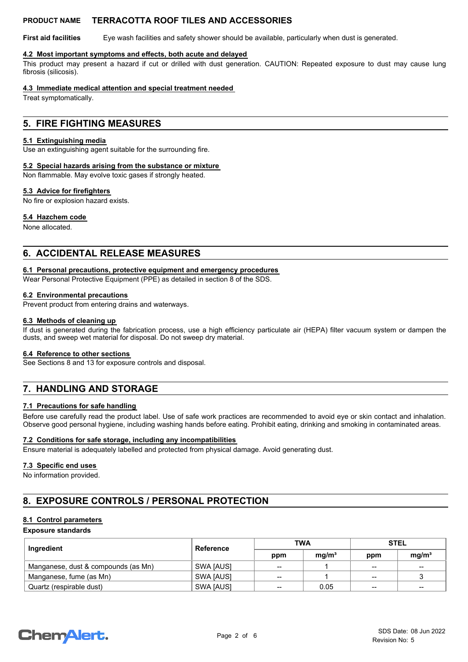**First aid facilities** Eye wash facilities and safety shower should be available, particularly when dust is generated.

## **4.2 Most important symptoms and effects, both acute and delayed**

This product may present a hazard if cut or drilled with dust generation. CAUTION: Repeated exposure to dust may cause lung fibrosis (silicosis).

## **4.3 Immediate medical attention and special treatment needed**

Treat symptomatically.

## **5. FIRE FIGHTING MEASURES**

### **5.1 Extinguishing media**

Use an extinguishing agent suitable for the surrounding fire.

## **5.2 Special hazards arising from the substance or mixture**

Non flammable. May evolve toxic gases if strongly heated.

## **5.3 Advice for firefighters**

No fire or explosion hazard exists.

## **5.4 Hazchem code**

None allocated.

## **6. ACCIDENTAL RELEASE MEASURES**

#### **6.1 Personal precautions, protective equipment and emergency procedures**

Wear Personal Protective Equipment (PPE) as detailed in section 8 of the SDS.

## **6.2 Environmental precautions**

Prevent product from entering drains and waterways.

#### **6.3 Methods of cleaning up**

If dust is generated during the fabrication process, use a high efficiency particulate air (HEPA) filter vacuum system or dampen the dusts, and sweep wet material for disposal. Do not sweep dry material.

#### **6.4 Reference to other sections**

See Sections 8 and 13 for exposure controls and disposal.

# **7. HANDLING AND STORAGE**

## **7.1 Precautions for safe handling**

Before use carefully read the product label. Use of safe work practices are recommended to avoid eye or skin contact and inhalation. Observe good personal hygiene, including washing hands before eating. Prohibit eating, drinking and smoking in contaminated areas.

#### **7.2 Conditions for safe storage, including any incompatibilities**

Ensure material is adequately labelled and protected from physical damage. Avoid generating dust.

#### **7.3 Specific end uses**

No information provided.

# **8. EXPOSURE CONTROLS / PERSONAL PROTECTION**

## **8.1 Control parameters**

## **Exposure standards**

| Ingredient                          | Reference         | <b>TWA</b> |                   | <b>STEL</b>       |                   |
|-------------------------------------|-------------------|------------|-------------------|-------------------|-------------------|
|                                     |                   | ppm        | mq/m <sup>3</sup> | ppm               | mq/m <sup>3</sup> |
| Manganese, dust & compounds (as Mn) | SWA <b>IAUS</b> I | --         |                   | $- -$             | $- -$             |
| Manganese, fume (as Mn)             | SWA <b>IAUS</b> I | $- -$      |                   | $\qquad \qquad$   |                   |
| Quartz (respirable dust)            | SWA <b>IAUS</b>   | --         | 0.05              | $\hspace{0.05cm}$ | $- -$             |

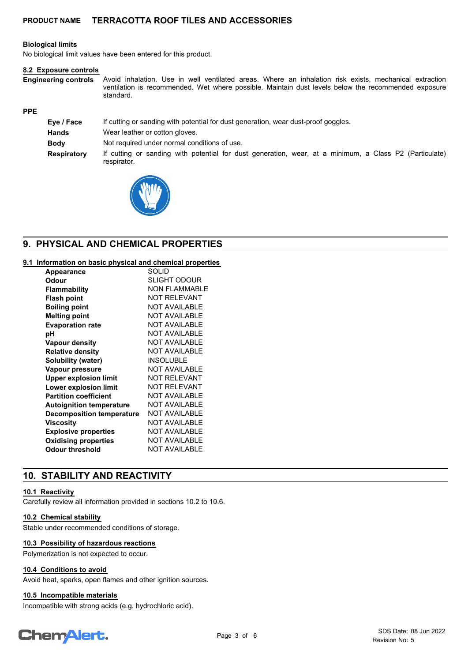## **Biological limits**

No biological limit values have been entered for this product.

#### **8.2 Exposure controls**

Avoid inhalation. Use in well ventilated areas. Where an inhalation risk exists, mechanical extraction ventilation is recommended. Wet where possible. Maintain dust levels below the recommended exposure standard. **Engineering controls**

## **PPE**

| Eye / Face         | If cutting or sanding with potential for dust generation, wear dust-proof goggles.                                    |  |  |
|--------------------|-----------------------------------------------------------------------------------------------------------------------|--|--|
| <b>Hands</b>       | Wear leather or cotton gloves.                                                                                        |  |  |
| <b>Body</b>        | Not required under normal conditions of use.                                                                          |  |  |
| <b>Respiratory</b> | If cutting or sanding with potential for dust generation, wear, at a minimum, a Class P2 (Particulate)<br>respirator. |  |  |



# **9. PHYSICAL AND CHEMICAL PROPERTIES**

## **9.1 Information on basic physical and chemical properties**

| <b>Appearance</b>                | <b>SOLID</b>         |
|----------------------------------|----------------------|
| Odour                            | <b>SLIGHT ODOUR</b>  |
| <b>Flammability</b>              | NON FI AMMABI F      |
| <b>Flash point</b>               | <b>NOT RELEVANT</b>  |
| <b>Boiling point</b>             | NOT AVAILABLE        |
| <b>Melting point</b>             | <b>NOT AVAILABLE</b> |
| <b>Evaporation rate</b>          | <b>NOT AVAILABLE</b> |
| рH                               | <b>NOT AVAILABLE</b> |
| <b>Vapour density</b>            | <b>NOT AVAILABLE</b> |
| <b>Relative density</b>          | NOT AVAILABLE        |
| <b>Solubility (water)</b>        | <b>INSOLUBLE</b>     |
| Vapour pressure                  | <b>NOT AVAILABLE</b> |
| <b>Upper explosion limit</b>     | <b>NOT RELEVANT</b>  |
| Lower explosion limit            | <b>NOT RELEVANT</b>  |
| <b>Partition coefficient</b>     | <b>NOT AVAILABLE</b> |
| <b>Autoignition temperature</b>  | <b>NOT AVAILABLE</b> |
| <b>Decomposition temperature</b> | <b>NOT AVAILABLE</b> |
| Viscosity                        | <b>NOT AVAILABLE</b> |
| <b>Explosive properties</b>      | <b>NOT AVAILABLE</b> |
| <b>Oxidising properties</b>      | <b>NOT AVAILABLE</b> |
| Odour threshold                  | <b>NOT AVAILABLE</b> |

# **10. STABILITY AND REACTIVITY**

#### **10.1 Reactivity**

Carefully review all information provided in sections 10.2 to 10.6.

### **10.2 Chemical stability**

Stable under recommended conditions of storage.

## **10.3 Possibility of hazardous reactions**

Polymerization is not expected to occur.

## **10.4 Conditions to avoid**

Avoid heat, sparks, open flames and other ignition sources.

## **10.5 Incompatible materials**

Incompatible with strong acids (e.g. hydrochloric acid).

# **ChemAlert.**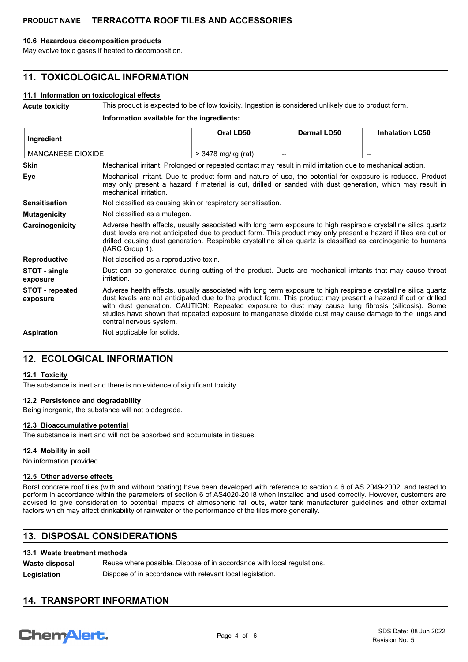### **10.6 Hazardous decomposition products**

May evolve toxic gases if heated to decomposition.

# **11. TOXICOLOGICAL INFORMATION**

## **11.1 Information on toxicological effects**

**Acute toxicity** This product is expected to be of low toxicity. Ingestion is considered unlikely due to product form.

**Information available for the ingredients:**

| Ingredient                  |                                                                                                                                                                                                                                                                                                                                                                                                                                                                           | Oral LD50                                                    | <b>Dermal LD50</b> | <b>Inhalation LC50</b>                         |
|-----------------------------|---------------------------------------------------------------------------------------------------------------------------------------------------------------------------------------------------------------------------------------------------------------------------------------------------------------------------------------------------------------------------------------------------------------------------------------------------------------------------|--------------------------------------------------------------|--------------------|------------------------------------------------|
| <b>MANGANESE DIOXIDE</b>    |                                                                                                                                                                                                                                                                                                                                                                                                                                                                           | > 3478 mg/kg (rat)                                           |                    | $\hspace{0.1mm}-\hspace{0.1mm}-\hspace{0.1mm}$ |
| <b>Skin</b>                 | Mechanical irritant. Prolonged or repeated contact may result in mild irritation due to mechanical action.                                                                                                                                                                                                                                                                                                                                                                |                                                              |                    |                                                |
| Eye                         | Mechanical irritant. Due to product form and nature of use, the potential for exposure is reduced. Product<br>may only present a hazard if material is cut, drilled or sanded with dust generation, which may result in<br>mechanical irritation.                                                                                                                                                                                                                         |                                                              |                    |                                                |
| <b>Sensitisation</b>        |                                                                                                                                                                                                                                                                                                                                                                                                                                                                           | Not classified as causing skin or respiratory sensitisation. |                    |                                                |
| <b>Mutagenicity</b>         |                                                                                                                                                                                                                                                                                                                                                                                                                                                                           | Not classified as a mutagen.                                 |                    |                                                |
| Carcinogenicity             | Adverse health effects, usually associated with long term exposure to high respirable crystalline silica quartz<br>dust levels are not anticipated due to product form. This product may only present a hazard if tiles are cut or<br>drilled causing dust generation. Respirable crystalline silica quartz is classified as carcinogenic to humans<br>(IARC Group 1).                                                                                                    |                                                              |                    |                                                |
| <b>Reproductive</b>         | Not classified as a reproductive toxin.                                                                                                                                                                                                                                                                                                                                                                                                                                   |                                                              |                    |                                                |
| STOT - single<br>exposure   | Dust can be generated during cutting of the product. Dusts are mechanical irritants that may cause throat<br>irritation.                                                                                                                                                                                                                                                                                                                                                  |                                                              |                    |                                                |
| STOT - repeated<br>exposure | Adverse health effects, usually associated with long term exposure to high respirable crystalline silica quartz<br>dust levels are not anticipated due to the product form. This product may present a hazard if cut or drilled<br>with dust generation. CAUTION: Repeated exposure to dust may cause lung fibrosis (silicosis). Some<br>studies have shown that repeated exposure to manganese dioxide dust may cause damage to the lungs and<br>central nervous system. |                                                              |                    |                                                |
| <b>Aspiration</b>           | Not applicable for solids.                                                                                                                                                                                                                                                                                                                                                                                                                                                |                                                              |                    |                                                |

# **12. ECOLOGICAL INFORMATION**

## **12.1 Toxicity**

The substance is inert and there is no evidence of significant toxicity.

## **12.2 Persistence and degradability**

Being inorganic, the substance will not biodegrade.

## **12.3 Bioaccumulative potential**

The substance is inert and will not be absorbed and accumulate in tissues.

## **12.4 Mobility in soil**

No information provided.

### **12.5 Other adverse effects**

Boral concrete roof tiles (with and without coating) have been developed with reference to section 4.6 of AS 2049-2002, and tested to perform in accordance within the parameters of section 6 of AS4020-2018 when installed and used correctly. However, customers are advised to give consideration to potential impacts of atmospheric fall outs, water tank manufacturer guidelines and other external factors which may affect drinkability of rainwater or the performance of the tiles more generally.

# **13. DISPOSAL CONSIDERATIONS**

## **13.1 Waste treatment methods**

| Waste disposal | Reuse where possible. Dispose of in accordance with local regulations. |
|----------------|------------------------------------------------------------------------|
| Legislation    | Dispose of in accordance with relevant local legislation.              |

## **14. TRANSPORT INFORMATION**

# **ChemAlert.**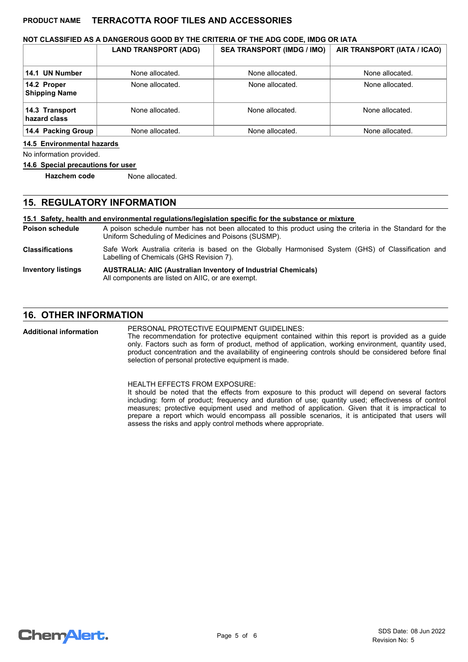## **NOT CLASSIFIED AS A DANGEROUS GOOD BY THE CRITERIA OF THE ADG CODE, IMDG OR IATA**

|                                     | <b>LAND TRANSPORT (ADG)</b> | <b>SEA TRANSPORT (IMDG / IMO)</b> | AIR TRANSPORT (IATA / ICAO) |
|-------------------------------------|-----------------------------|-----------------------------------|-----------------------------|
| 14.1 UN Number                      | None allocated.             | None allocated.                   | None allocated.             |
| 14.2 Proper<br><b>Shipping Name</b> | None allocated.             | None allocated.                   | None allocated.             |
| 14.3 Transport<br>hazard class      | None allocated.             | None allocated.                   | None allocated.             |
| 14.4 Packing Group                  | None allocated.             | None allocated.                   | None allocated.             |

#### **14.5 Environmental hazards**

No information provided.

#### **14.6 Special precautions for user**

**Hazchem code** None allocated.

## **15. REGULATORY INFORMATION**

#### **15.1 Safety, health and environmental regulations/legislation specific for the substance or mixture**

A poison schedule number has not been allocated to this product using the criteria in the Standard for the Uniform Scheduling of Medicines and Poisons (SUSMP). **Poison schedule** Safe Work Australia criteria is based on the Globally Harmonised System (GHS) of Classification and Labelling of Chemicals (GHS Revision 7). **Classifications**

#### **AUSTRALIA: AIIC (Australian Inventory of Industrial Chemicals)** All components are listed on AIIC, or are exempt. **Inventory listings**

## **16. OTHER INFORMATION**

PERSONAL PROTECTIVE EQUIPMENT GUIDELINES: The recommendation for protective equipment contained within this report is provided as a guide only. Factors such as form of product, method of application, working environment, quantity used, product concentration and the availability of engineering controls should be considered before final selection of personal protective equipment is made. **Additional information**

> HEALTH EFFECTS FROM EXPOSURE: It should be noted that the effects from exposure to this product will depend on several factors including: form of product; frequency and duration of use; quantity used; effectiveness of control measures; protective equipment used and method of application. Given that it is impractical to prepare a report which would encompass all possible scenarios, it is anticipated that users will assess the risks and apply control methods where appropriate.